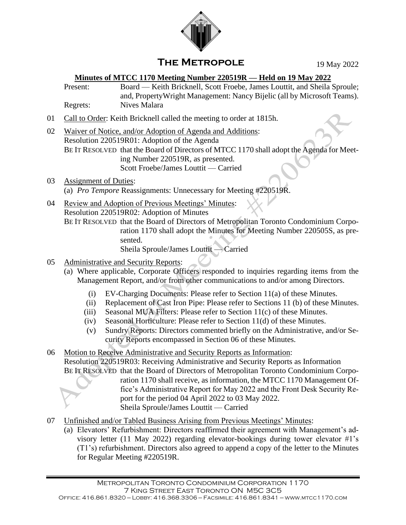

## **The Metropole**

19 May 2022

## **Minutes of MTCC 1170 Meeting Number 220519R — Held on 19 May 2022**

Present: Board — Keith Bricknell, Scott Froebe, James Louttit, and Sheila Sproule; and, PropertyWright Management: Nancy Bijelic (all by Microsoft Teams). Regrets: Nives Malara

- 01 Call to Order: Keith Bricknell called the meeting to order at 1815h.
- 02 Waiver of Notice, and/or Adoption of Agenda and Additions: Resolution 220519R01: Adoption of the Agenda BE IT RESOLVED that the Board of Directors of MTCC 1170 shall adopt the Agenda for Meeting Number 220519R, as presented. Scott Froebe/James Louttit — Carried
- 03 Assignment of Duties: (a) *Pro Tempore* Reassignments: Unnecessary for Meeting #220519R.
- 04 Review and Adoption of Previous Meetings' Minutes: Resolution 220519R02: Adoption of Minutes BE IT RESOLVED that the Board of Directors of Metropolitan Toronto Condominium Corporation 1170 shall adopt the Minutes for Meeting Number 220505S, as presented.

Sheila Sproule/James Louttit — Carried

- 05 Administrative and Security Reports:
	- (a) Where applicable, Corporate Officers responded to inquiries regarding items from the Management Report, and/or from other communications to and/or among Directors.
		- (i) EV-Charging Documents: Please refer to Section  $11(a)$  of these Minutes.
		- (ii) Replacement of Cast Iron Pipe: Please refer to Sections 11 (b) of these Minutes.
		- (iii) Seasonal MUA Filters: Please refer to Section 11(c) of these Minutes.
		- (iv) Seasonal Horticulture: Please refer to Section 11(d) of these Minutes.
		- (v) Sundry Reports: Directors commented briefly on the Administrative, and/or Security Reports encompassed in Section 06 of these Minutes.

06 Motion to Receive Administrative and Security Reports as Information: Resolution 220519R03: Receiving Administrative and Security Reports as Information BE IT RESOLVED that the Board of Directors of Metropolitan Toronto Condominium Corporation 1170 shall receive, as information, the MTCC 1170 Management Office's Administrative Report for May 2022 and the Front Desk Security Report for the period 04 April 2022 to 03 May 2022. Sheila Sproule/James Louttit — Carried

- 07 Unfinished and/or Tabled Business Arising from Previous Meetings' Minutes:
	- (a) Elevators' Refurbishment: Directors reaffirmed their agreement with Management's advisory letter (11 May 2022) regarding elevator-bookings during tower elevator #1's (T1's) refurbishment. Directors also agreed to append a copy of the letter to the Minutes for Regular Meeting #220519R.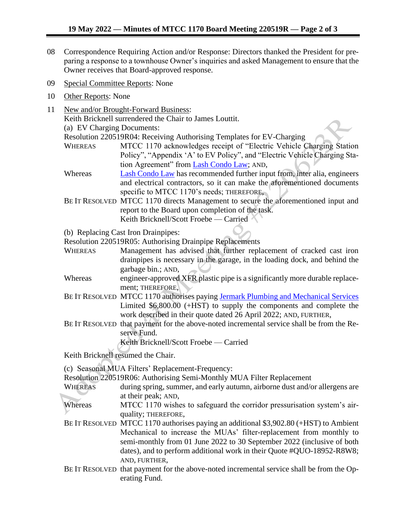- 08 Correspondence Requiring Action and/or Response: Directors thanked the President for preparing a response to a townhouse Owner's inquiries and asked Management to ensure that the Owner receives that Board-approved response.
- 09 Special Committee Reports: None
- 10 Other Reports: None
- 11 New and/or Brought-Forward Business: Keith Bricknell surrendered the Chair to James Louttit. (a) EV Charging Documents: Resolution 220519R04: Receiving Authorising Templates for EV-Charging WHEREAS MTCC 1170 acknowledges receipt of "Electric Vehicle Charging Station Policy", "Appendix 'A' to EV Policy", and "Electric Vehicle Charging Station Agreement" from [Lash Condo Law;](https://www.lashcondolaw.com/) AND, Whereas [Lash Condo Law](https://www.lashcondolaw.com/) has recommended further input from, inter alia, engineers and electrical contractors, so it can make the aforementioned documents specific to MTCC 1170's needs; THEREFORE, BE IT RESOLVED MTCC 1170 directs Management to secure the aforementioned input and report to the Board upon completion of the task. Keith Bricknell/Scott Froebe — Carried (b) Replacing Cast Iron Drainpipes: Resolution 220519R05: Authorising Drainpipe Replacements WHEREAS Management has advised that further replacement of cracked cast iron drainpipes is necessary in the garage, in the loading dock, and behind the garbage bin.; AND, Whereas engineer-approved XFR plastic pipe is a significantly more durable replacement; THEREFORE, BE IT RESOLVED MTCC 1170 authorises paying [Jermark Plumbing and Mechanical Services](https://www.jermark.ca/) Limited  $$6,800.00$  (+HST) to supply the components and complete the work described in their quote dated 26 April 2022; AND, FURTHER, BE IT RESOLVED that payment for the above-noted incremental service shall be from the Reserve Fund. Keith Bricknell/Scott Froebe — Carried Keith Bricknell resumed the Chair. (c) Seasonal MUA Filters' Replacement-Frequency: Resolution 220519R06: Authorising Semi-Monthly MUA Filter Replacement WHEREAS during spring, summer, and early autumn, airborne dust and/or allergens are at their peak; AND, Whereas MTCC 1170 wishes to safeguard the corridor pressurisation system's airquality; THEREFORE, BE IT RESOLVED MTCC 1170 authorises paying an additional \$3,902.80 (+HST) to Ambient Mechanical to increase the MUAs' filter-replacement from monthly to semi-monthly from 01 June 2022 to 30 September 2022 (inclusive of both dates), and to perform additional work in their Quote #QUO-18952-R8W8; AND, FURTHER,
	- BE IT RESOLVED that payment for the above-noted incremental service shall be from the Operating Fund.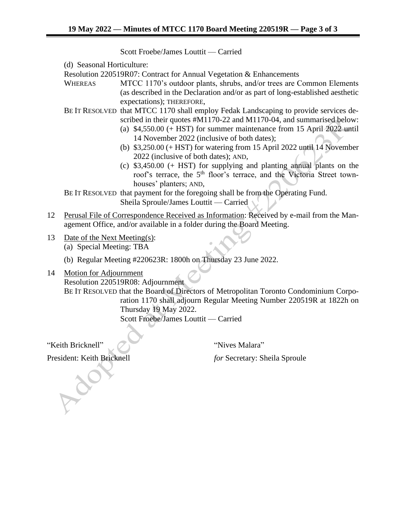Scott Froebe/James Louttit — Carried

(d) Seasonal Horticulture:

Resolution 220519R07: Contract for Annual Vegetation & Enhancements

- WHEREAS MTCC 1170's outdoor plants, shrubs, and/or trees are Common Elements (as described in the Declaration and/or as part of long-established aesthetic expectations); THEREFORE,
- BE IT RESOLVED that MTCC 1170 shall employ Fedak Landscaping to provide services described in their quotes #M1170-22 and M1170-04, and summarised below:
	- (a) \$4,550.00 (+ HST) for summer maintenance from 15 April 2022 until 14 November 2022 (inclusive of both dates);
	- (b) \$3,250.00 (+ HST) for watering from 15 April 2022 until 14 November 2022 (inclusive of both dates); AND,
	- (c) \$3,450.00 (+ HST) for supplying and planting annual plants on the roof's terrace, the 5<sup>th</sup> floor's terrace, and the Victoria Street townhouses' planters; AND,

BE IT RESOLVED that payment for the foregoing shall be from the Operating Fund. Sheila Sproule/James Louttit — Carried

- 12 Perusal File of Correspondence Received as Information: Received by e-mail from the Management Office, and/or available in a folder during the Board Meeting.
- 13 Date of the Next Meeting(s):

(a) Special Meeting: TBA

- (b) Regular Meeting #220623R: 1800h on Thursday 23 June 2022.
- 14 Motion for Adjournment Resolution 220519R08: Adjournment BE IT RESOLVED that the Board of Directors of Metropolitan Toronto Condominium Corporation 1170 shall adjourn Regular Meeting Number 220519R at 1822h on Thursday 19 May 2022. Scott Froebe/James Louttit — Carried

"Keith Bricknell" **The Community of Series** "Nives Malara"

President: Keith Bricknell *for* Secretary: Sheila Sproule